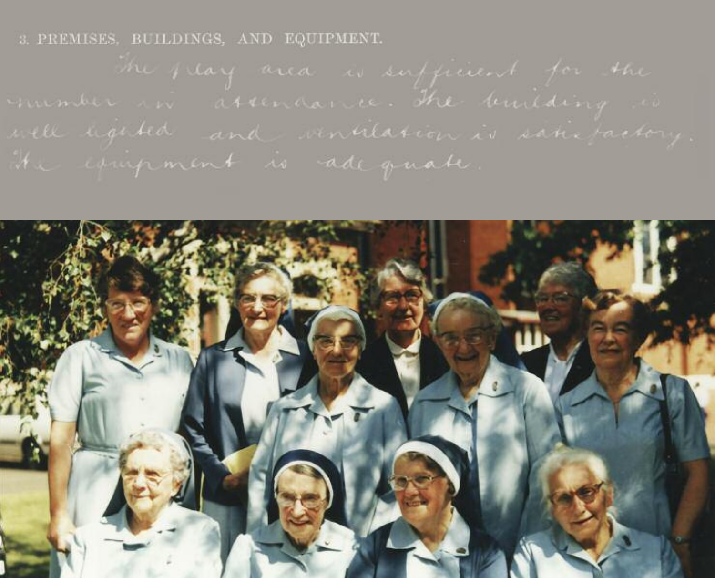## 3. PREMISES, BUILDINGS, AND EQUIPMENT.

He experiencent is adequate.

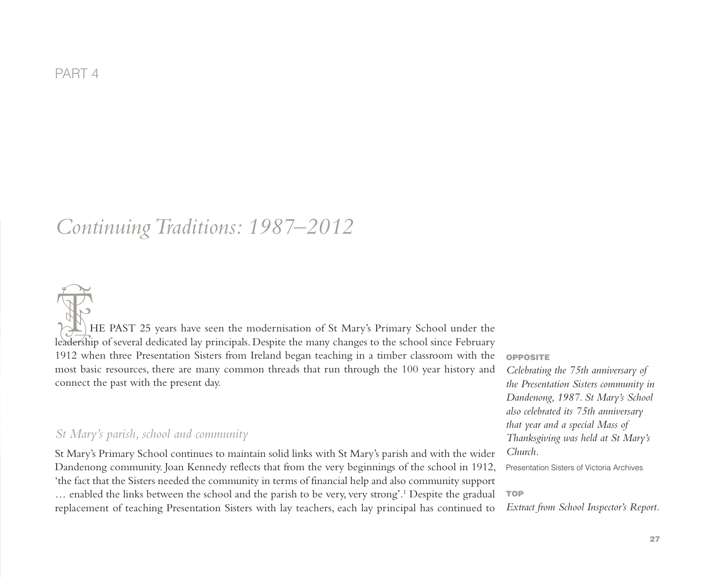# *ContinuingTraditions: 1987–2012*

HE PAST 25 years have seen the modernisation of St Mary's Primary School under the leadership of several dedicated lay principals. Despite the many changes to the school since February 1912 when three Presentation Sisters from Ireland began teaching in a timber classroom with the most basic resources, there are many common threads that run through the 100 year history and connect the past with the present day.

### *St Mary's parish, school and community*

St Mary's Primary School continues to maintain solid links with St Mary's parish and with the wider Dandenong community. Joan Kennedy reflects that from the very beginnings of the school in 1912, 'the fact that the Sisters needed the community in terms of financial help and also community support … enabled the links between the school and the parish to be very, very strong'. <sup>1</sup> Despite the gradual replacement of teaching Presentation Sisters with lay teachers, each lay principal has continued to

**OPPOSITE**

*Celebrating the 75th anniversary of the Presentation Sisters community in Dandenong, 1987. St Mary's School also celebrated its 75th anniversary that year and a special Mass of Thanksgiving was held at St Mary's Church.* Presentation Sisters of Victoria archives

#### **TOP**

*Extract from School Inspector's Report.*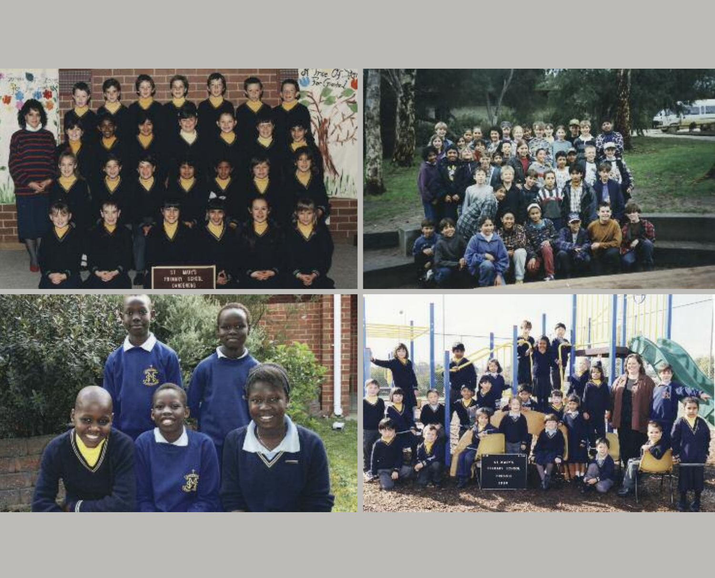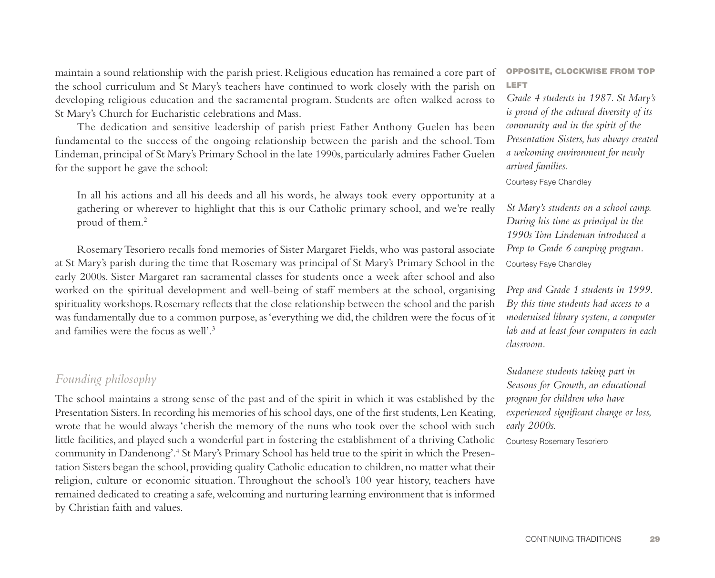maintain a sound relationship with the parish priest. Religious education has remained a core part of the school curriculum and St Mary's teachers have continued to work closely with the parish on developing religious education and the sacramental program. Students are often walked across to St Mary's Church for Eucharistic celebrations and Mass.

The dedication and sensitive leadership of parish priest Father Anthony Guelen has been fundamental to the success of the ongoing relationship between the parish and the school.Tom Lindeman, principal of St Mary's Primary School in the late 1990s, particularly admires Father Guelen for the support he gave the school:

In all his actions and all his deeds and all his words, he always took every opportunity at a gathering or wherever to highlight that this is our Catholic primary school, and we're really proud of them. 2

RosemaryTesoriero recalls fond memories of Sister Margaret Fields, who was pastoral associate at St Mary's parish during the time that Rosemary was principal of St Mary's Primary School in the early 2000s. Sister Margaret ran sacramental classes for students once a week after school and also worked on the spiritual development and well-being of staff members at the school, organising spirituality workshops.Rosemary reflects that the close relationship between the school and the parish was fundamentally due to a common purpose, as 'everything we did, the children were the focus of it and families were the focus as well'. 3

### *Founding philosophy*

The school maintains a strong sense of the past and of the spirit in which it was established by the Presentation Sisters. In recording his memories of his school days, one of the first students, Len Keating, wrote that he would always 'cherish the memory of the nuns who took over the school with such little facilities, and played such a wonderful part in fostering the establishment of a thriving Catholic community in Dandenong'. <sup>4</sup> St Mary's Primary School has held true to the spirit in which the Presentation Sisters began the school, providing quality Catholic education to children, no matter what their religion, culture or economic situation. Throughout the school's 100 year history, teachers have remained dedicated to creating a safe, welcoming and nurturing learning environment that is informed by Christian faith and values.

**OPPOSITE, CLOCKWISE FROM TOP LEFT**

*Grade 4 students in 1987. St Mary's is proud of the cultural diversity of its community and in the spirit of the Presentation Sisters, has always created a welcoming environment for newly arrived families.*

courtesy Faye chandley

*St Mary's students on a school camp. During his time as principal in the 1990sTom Lindeman introduced a Prep to Grade 6 camping program.* courtesy Faye chandley

*Prep and Grade 1 students in 1999. By this time students had access to a modernised library system, a computer lab and at least four computers in each classroom.*

*Sudanese students taking part in Seasons for Growth, an educational program for children who have experienced significant change or loss, early 2000s.*

Courtesy Rosemary Tesoriero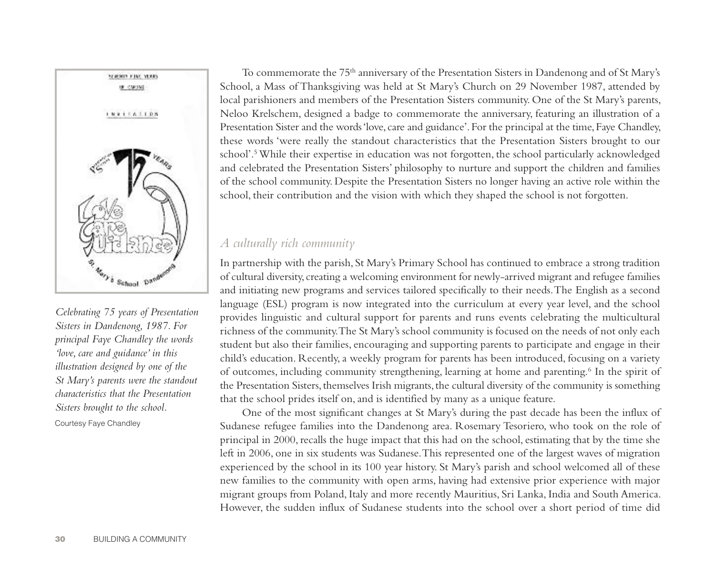

*Celebrating 75 years of Presentation Sisters in Dandenong, 1987. For principal Faye Chandley the words 'love, care and guidance' in this illustration designed by one of the St Mary's parents were the standout characteristics that the Presentation Sisters brought to the school.*

courtesy Faye chandley

To commemorate the 75<sup>th</sup> anniversary of the Presentation Sisters in Dandenong and of St Mary's School, a Mass of Thanksgiving was held at St Mary's Church on 29 November 1987, attended by local parishioners and members of the Presentation Sisters community. One of the St Mary's parents, Neloo Krelschem, designed a badge to commemorate the anniversary, featuring an illustration of a Presentation Sister and the words'love, care and guidance'.For the principal at the time,Faye Chandley, these words 'were really the standout characteristics that the Presentation Sisters brought to our school'. 5While their expertise in education was not forgotten, the school particularly acknowledged and celebrated the Presentation Sisters' philosophy to nurture and support the children and families of the school community. Despite the Presentation Sisters no longer having an active role within the school, their contribution and the vision with which they shaped the school is not forgotten.

### *A culturally rich community*

In partnership with the parish, St Mary's Primary School has continued to embrace a strong tradition of cultural diversity, creating a welcoming environment for newly-arrived migrant and refugee families and initiating new programs and services tailored specifically to their needs.The English as a second language (ESL) program is now integrated into the curriculum at every year level, and the school provides linguistic and cultural support for parents and runs events celebrating the multicultural richness of the community.The St Mary's school community is focused on the needs of not only each student but also their families, encouraging and supporting parents to participate and engage in their child's education. Recently, a weekly program for parents has been introduced, focusing on a variety of outcomes, including community strengthening, learning at home and parenting. <sup>6</sup> In the spirit of the Presentation Sisters, themselves Irish migrants, the cultural diversity of the community is something that the school prides itself on,and is identified by many as a unique feature.

One of the most significant changes at St Mary's during the past decade has been the influx of Sudanese refugee families into the Dandenong area. Rosemary Tesoriero, who took on the role of principal in 2000, recalls the huge impact that this had on the school, estimating that by the time she left in 2006, one in six students was Sudanese.This represented one of the largest waves of migration experienced by the school in its 100 year history. St Mary's parish and school welcomed all of these new families to the community with open arms, having had extensive prior experience with major migrant groups from Poland, Italy and more recently Mauritius, Sri Lanka, India and South America. However, the sudden influx of Sudanese students into the school over a short period of time did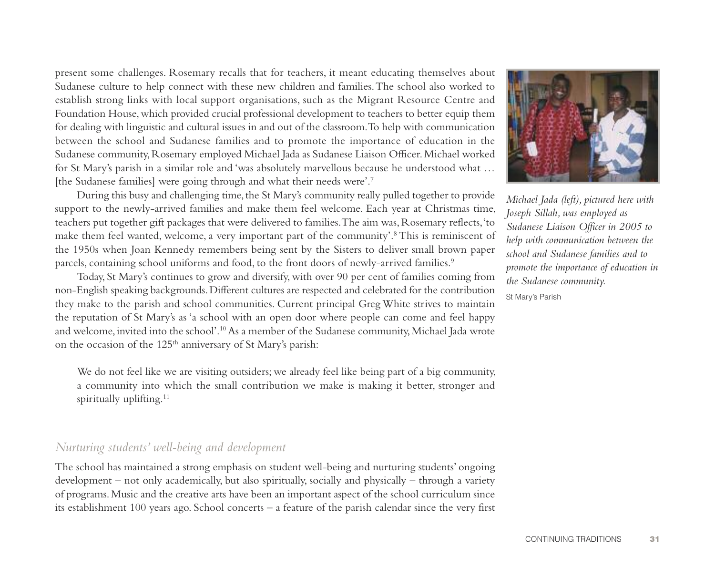present some challenges. Rosemary recalls that for teachers, it meant educating themselves about Sudanese culture to help connect with these new children and families.The school also worked to establish strong links with local support organisations, such as the Migrant Resource Centre and Foundation House,which provided crucial professional development to teachers to better equip them for dealing with linguistic and cultural issues in and out of the classroom.To help with communication between the school and Sudanese families and to promote the importance of education in the Sudanese community,Rosemary employed Michael Jada as Sudanese Liaison Officer.Michael worked for St Mary's parish in a similar role and 'was absolutely marvellous because he understood what … [the Sudanese families] were going through and what their needs were'. 7

During this busy and challenging time, the St Mary's community really pulled together to provide support to the newly-arrived families and make them feel welcome. Each year at Christmas time, teachers put together gift packages that were delivered to families.The aim was, Rosemary reflects,'to make them feel wanted, welcome, a very important part of the community'. <sup>8</sup> This is reminiscent of the 1950s when Joan Kennedy remembers being sent by the Sisters to deliver small brown paper parcels, containing school uniforms and food, to the front doors of newly-arrived families. 9

Today, St Mary's continues to grow and diversify, with over 90 per cent of families coming from non-English speaking backgrounds.Different cultures are respected and celebrated for the contribution they make to the parish and school communities. Current principal Greg White strives to maintain the reputation of St Mary's as 'a school with an open door where people can come and feel happy and welcome, invited into the school'.<sup>10</sup> As a member of the Sudanese community, Michael Jada wrote on the occasion of the 125<sup>th</sup> anniversary of St Mary's parish:

We do not feel like we are visiting outsiders; we already feel like being part of a big community, a community into which the small contribution we make is making it better, stronger and spiritually uplifting. 11

#### *Nurturing students' well-being and development*

The school has maintained a strong emphasis on student well-being and nurturing students' ongoing development – not only academically, but also spiritually, socially and physically – through a variety of programs.Music and the creative arts have been an important aspect of the school curriculum since its establishment 100 years ago. School concerts – a feature of the parish calendar since the very first



*Michael Jada (left), pictured here with Joseph Sillah, was employed as Sudanese Liaison Officer in 2005 to help with communication between the school and Sudanese families and to promote the importance of education in the Sudanese community.* St Mary's Parish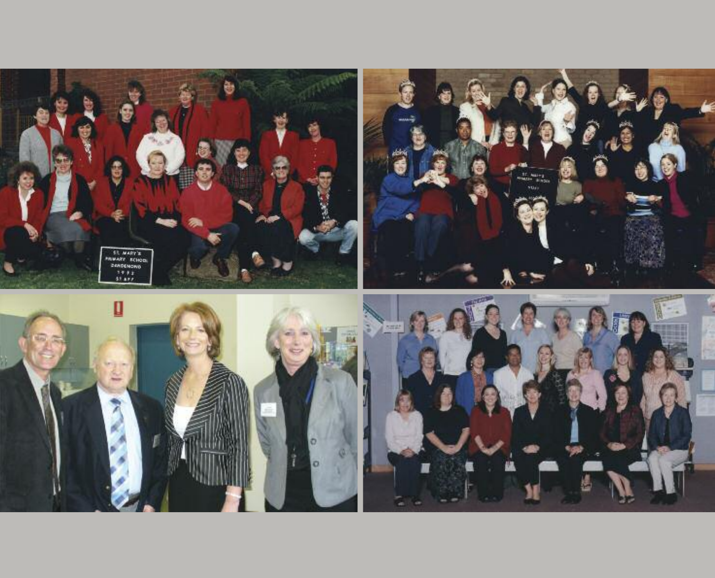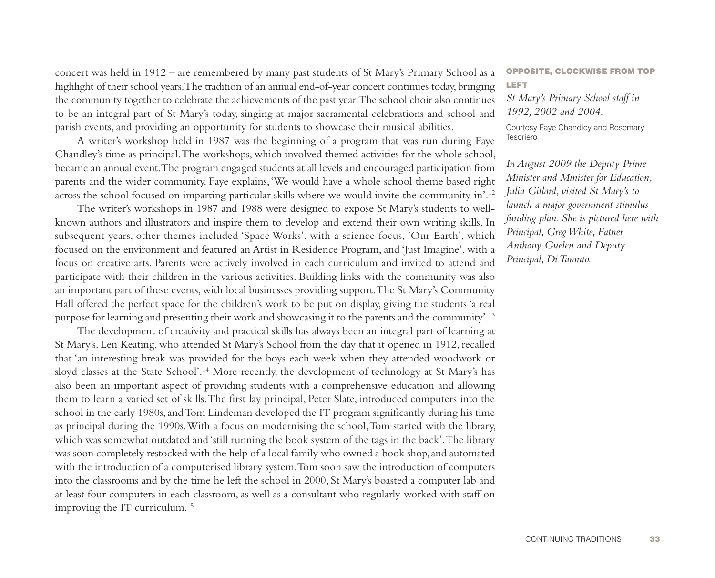concert was held in 1912 – are remembered by many past students of St Mary's Primary School as a highlight of their school years.The tradition of an annual end-of-year concert continues today, bringing the community together to celebrate the achievements of the past year.The school choir also continues to be an integral part of St Mary's today, singing at major sacramental celebrations and school and parish events,and providing an opportunity for students to showcase their musical abilities.

A writer's workshop held in 1987 was the beginning of a program that was run during Faye Chandley's time as principal.The workshops, which involved themed activities for the whole school, became an annual event.The program engaged students at all levels and encouraged participation from parents and the wider community. Faye explains,'We would have a whole school theme based right across the school focused on imparting particular skills where we would invite the community in'. 12

The writer's workshops in 1987 and 1988 were designed to expose St Mary's students to wellknown authors and illustrators and inspire them to develop and extend their own writing skills. In subsequent years, other themes included 'Space Works', with a science focus, 'Our Earth', which focused on the environment and featured an Artist in Residence Program, and 'Just Imagine', with a focus on creative arts. Parents were actively involved in each curriculum and invited to attend and participate with their children in the various activities. Building links with the community was also an important part of these events, with local businesses providing support.The St Mary's Community Hall offered the perfect space for the children's work to be put on display, giving the students 'a real purpose for learning and presenting their work and showcasing it to the parents and the community'. 13

The development of creativity and practical skills has always been an integral part of learning at St Mary's. Len Keating, who attended St Mary's School from the day that it opened in 1912, recalled that 'an interesting break was provided for the boys each week when they attended woodwork or sloyd classes at the State School'. <sup>14</sup> More recently, the development of technology at St Mary's has also been an important aspect of providing students with a comprehensive education and allowing them to learn a varied set of skills.The first lay principal, Peter Slate, introduced computers into the school in the early 1980s, and Tom Lindeman developed the IT program significantly during his time as principal during the 1990s.With a focus on modernising the school,Tom started with the library, which was somewhat outdated and 'still running the book system of the tags in the back'.The library was soon completely restocked with the help of a local family who owned a book shop,and automated with the introduction of a computerised library system.Tom soon saw the introduction of computers into the classrooms and by the time he left the school in 2000, St Mary's boasted a computer lab and at least four computers in each classroom,as well as a consultant who regularly worked with staff on improving the IT curriculum. 15

**OPPOSITE, CLOCKWISE FROM TOP LEFT**

*St Mary's Primary School staff in 1992, 2002 and 2004.*

Courtesy Faye Chandley and Rosemary Tesoriero

*In August 2009 the Deputy Prime Minister and Minister for Education, Julia Gillard, visited St Mary's to launch a major government stimulus funding plan. She is pictured here with Principal, GregWhite, Father Anthony Guelen and Deputy Principal, DiTaranto.*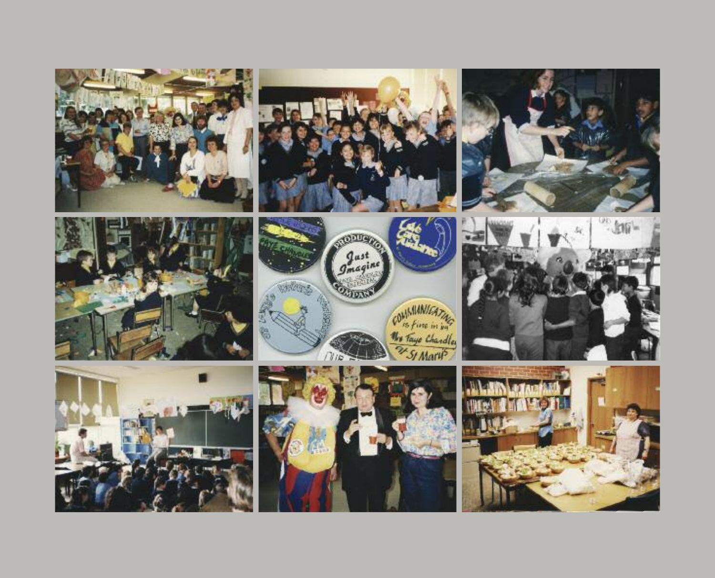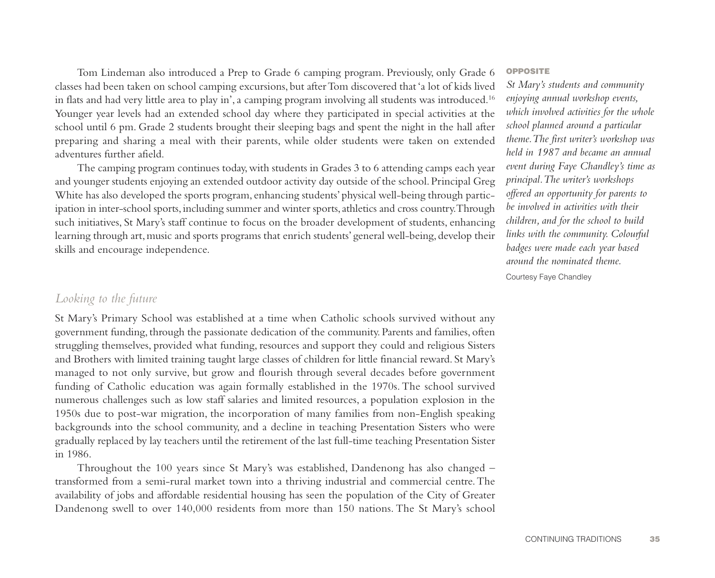Tom Lindeman also introduced a Prep to Grade 6 camping program. Previously, only Grade 6 classes had been taken on school camping excursions, but afterTom discovered that 'a lot of kids lived in flats and had very little area to play in', a camping program involving all students was introduced. $^{16}$ Younger year levels had an extended school day where they participated in special activities at the school until 6 pm. Grade 2 students brought their sleeping bags and spent the night in the hall after preparing and sharing a meal with their parents, while older students were taken on extended adventures further afield.

The camping program continues today,with students in Grades 3 to 6 attending camps each year and younger students enjoying an extended outdoor activity day outside of the school.Principal Greg White has also developed the sports program, enhancing students' physical well-being through participation in inter-school sports, including summer and winter sports, athletics and cross country. Through such initiatives, St Mary's staff continue to focus on the broader development of students, enhancing learning through art, music and sports programs that enrich students' general well-being, develop their skills and encourage independence.

#### *Looking to the future*

St Mary's Primary School was established at a time when Catholic schools survived without any government funding, through the passionate dedication of the community. Parents and families, often struggling themselves, provided what funding, resources and support they could and religious Sisters and Brothers with limited training taught large classes of children for little financial reward. St Mary's managed to not only survive, but grow and flourish through several decades before government funding of Catholic education was again formally established in the 1970s.The school survived numerous challenges such as low staff salaries and limited resources, a population explosion in the 1950s due to post-war migration, the incorporation of many families from non-English speaking backgrounds into the school community, and a decline in teaching Presentation Sisters who were gradually replaced by lay teachers until the retirement of the last full-time teaching Presentation Sister in 1986.

Throughout the 100 years since St Mary's was established, Dandenong has also changed – transformed from a semi-rural market town into a thriving industrial and commercial centre.The availability of jobs and affordable residential housing has seen the population of the City of Greater Dandenong swell to over 140,000 residents from more than 150 nations. The St Mary's school

#### **OPPOSITE**

*St Mary's students and community enjoying annual workshop events, which involved activities for the whole school planned around a particular theme.The first writer's workshop was held in 1987 and became an annual event during Faye Chandley's time as principal.The writer's workshops offered an opportunity for parents to be involved in activities with their children, and for the school to build links with the community. Colourful badges were made each year based around the nominated theme.* courtesy Faye chandley